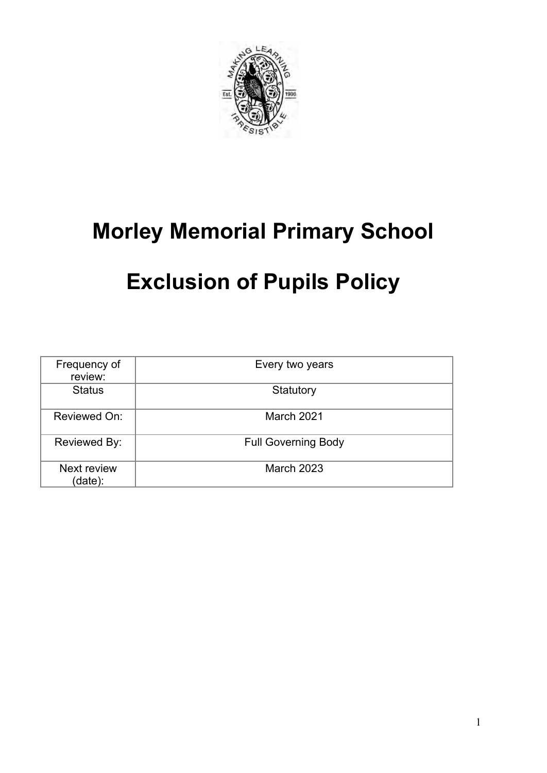

# **Morley Memorial Primary School**

# **Exclusion of Pupils Policy**

| Frequency of<br>review:       | Every two years            |
|-------------------------------|----------------------------|
| <b>Status</b>                 | Statutory                  |
| Reviewed On:                  | March 2021                 |
| Reviewed By:                  | <b>Full Governing Body</b> |
| <b>Next review</b><br>(date): | <b>March 2023</b>          |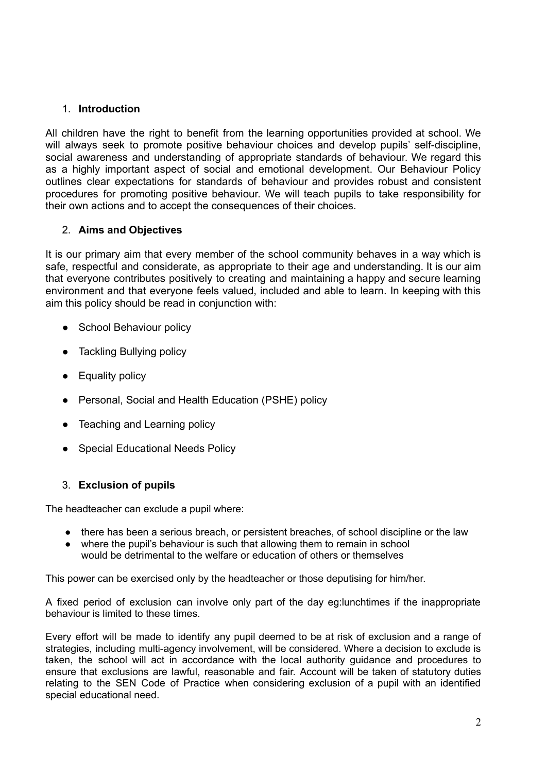### 1. **Introduction**

All children have the right to benefit from the learning opportunities provided at school. We will always seek to promote positive behaviour choices and develop pupils' self-discipline, social awareness and understanding of appropriate standards of behaviour. We regard this as a highly important aspect of social and emotional development. Our Behaviour Policy outlines clear expectations for standards of behaviour and provides robust and consistent procedures for promoting positive behaviour. We will teach pupils to take responsibility for their own actions and to accept the consequences of their choices.

# 2. **Aims and Objectives**

It is our primary aim that every member of the school community behaves in a way which is safe, respectful and considerate, as appropriate to their age and understanding. It is our aim that everyone contributes positively to creating and maintaining a happy and secure learning environment and that everyone feels valued, included and able to learn. In keeping with this aim this policy should be read in conjunction with:

- School Behaviour policy
- Tackling Bullying policy
- Equality policy
- Personal, Social and Health Education (PSHE) policy
- Teaching and Learning policy
- Special Educational Needs Policy

# 3. **Exclusion of pupils**

The headteacher can exclude a pupil where:

- there has been a serious breach, or persistent breaches, of school discipline or the law
- where the pupil's behaviour is such that allowing them to remain in school would be detrimental to the welfare or education of others or themselves

This power can be exercised only by the headteacher or those deputising for him/her.

A fixed period of exclusion can involve only part of the day eg:lunchtimes if the inappropriate behaviour is limited to these times.

Every effort will be made to identify any pupil deemed to be at risk of exclusion and a range of strategies, including multi-agency involvement, will be considered. Where a decision to exclude is taken, the school will act in accordance with the local authority guidance and procedures to ensure that exclusions are lawful, reasonable and fair. Account will be taken of statutory duties relating to the SEN Code of Practice when considering exclusion of a pupil with an identified special educational need.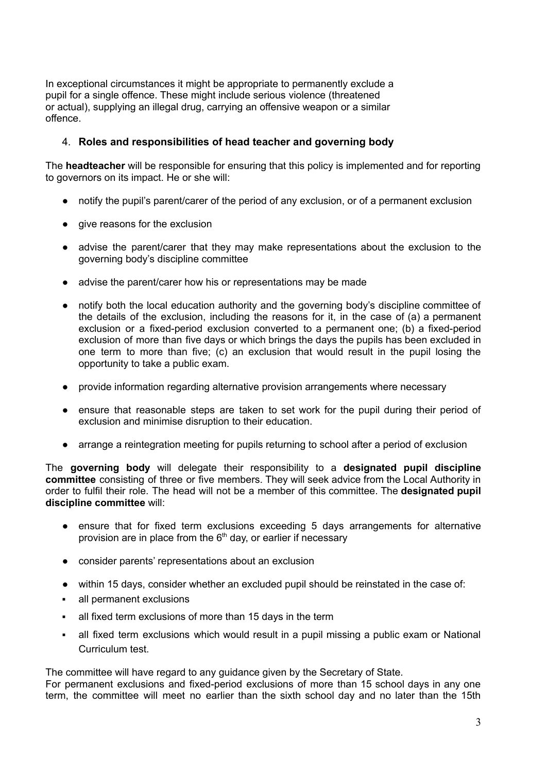In exceptional circumstances it might be appropriate to permanently exclude a pupil for a single offence. These might include serious violence (threatened or actual), supplying an illegal drug, carrying an offensive weapon or a similar offence.

### 4. **Roles and responsibilities of head teacher and governing body**

The **headteacher** will be responsible for ensuring that this policy is implemented and for reporting to governors on its impact. He or she will:

- notify the pupil's parent/carer of the period of any exclusion, or of a permanent exclusion
- give reasons for the exclusion
- advise the parent/carer that they may make representations about the exclusion to the governing body's discipline committee
- advise the parent/carer how his or representations may be made
- notify both the local education authority and the governing body's discipline committee of the details of the exclusion, including the reasons for it, in the case of (a) a permanent exclusion or a fixed-period exclusion converted to a permanent one; (b) a fixed-period exclusion of more than five days or which brings the days the pupils has been excluded in one term to more than five; (c) an exclusion that would result in the pupil losing the opportunity to take a public exam.
- provide information regarding alternative provision arrangements where necessary
- ensure that reasonable steps are taken to set work for the pupil during their period of exclusion and minimise disruption to their education.
- arrange a reintegration meeting for pupils returning to school after a period of exclusion

The **governing body** will delegate their responsibility to a **designated pupil discipline committee** consisting of three or five members. They will seek advice from the Local Authority in order to fulfil their role. The head will not be a member of this committee. The **designated pupil discipline committee** will:

- ensure that for fixed term exclusions exceeding 5 days arrangements for alternative provision are in place from the  $6<sup>th</sup>$  day, or earlier if necessary
- consider parents' representations about an exclusion
- within 15 days, consider whether an excluded pupil should be reinstated in the case of:
- all permanent exclusions
- all fixed term exclusions of more than 15 days in the term
- all fixed term exclusions which would result in a pupil missing a public exam or National Curriculum test.

The committee will have regard to any guidance given by the Secretary of State.

For permanent exclusions and fixed-period exclusions of more than 15 school days in any one term, the committee will meet no earlier than the sixth school day and no later than the 15th